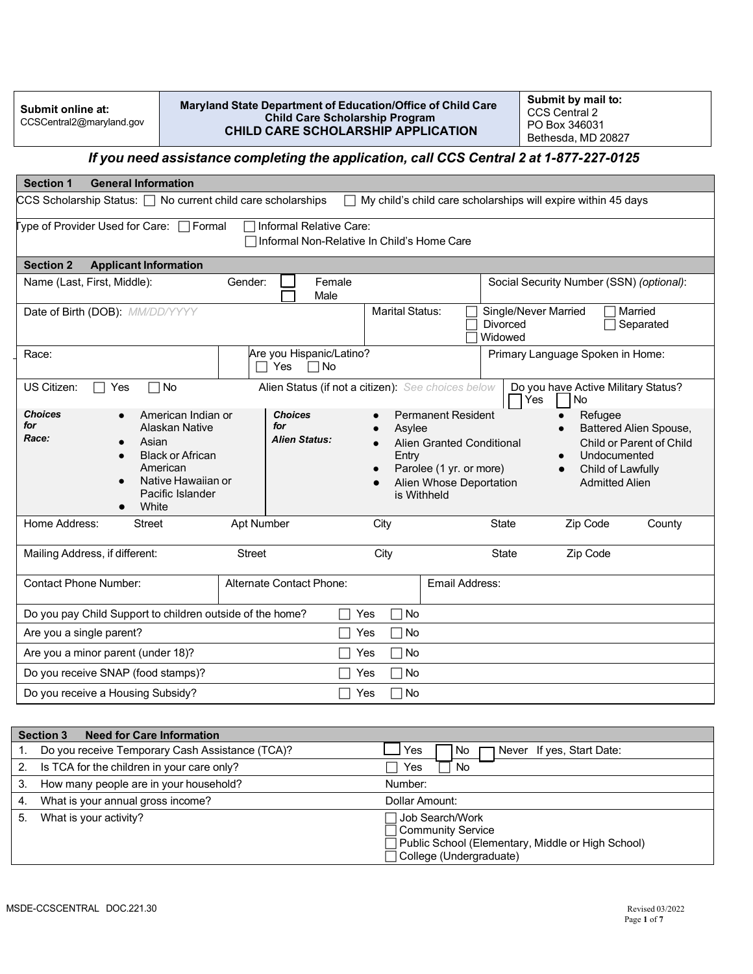| Submit online at:        |
|--------------------------|
| CCSCentral2@maryland.gov |

**Maryland State Department of Education/Office of Child Care Child Care Scholarship Program CHILD CARE SCHOLARSHIP APPLICATION**

**Submit by mail to:** CCS Central 2 PO Box 346031 Bethesda, MD 20827

## *If you need assistance completing the application, call CCS Central 2 at 1-877-227-0125*

| <b>Section 1</b><br><b>General Information</b>                                                                                                                                                                                    |                                                                                                                                                                                                                                                                               |  |  |  |  |  |  |
|-----------------------------------------------------------------------------------------------------------------------------------------------------------------------------------------------------------------------------------|-------------------------------------------------------------------------------------------------------------------------------------------------------------------------------------------------------------------------------------------------------------------------------|--|--|--|--|--|--|
| $\textsf{CCS}$ Scholarship Status: $\Box$ No current child care scholarships<br>My child's child care scholarships will expire within 45 days                                                                                     |                                                                                                                                                                                                                                                                               |  |  |  |  |  |  |
| Type of Provider Used for Care: □ Formal<br>Informal Relative Care:<br>Informal Non-Relative In Child's Home Care                                                                                                                 |                                                                                                                                                                                                                                                                               |  |  |  |  |  |  |
| <b>Section 2</b><br><b>Applicant Information</b>                                                                                                                                                                                  |                                                                                                                                                                                                                                                                               |  |  |  |  |  |  |
| Name (Last, First, Middle):<br>Gender:<br>Female<br>Male                                                                                                                                                                          | Social Security Number (SSN) (optional):                                                                                                                                                                                                                                      |  |  |  |  |  |  |
| Date of Birth (DOB): MM/DD/YYYY                                                                                                                                                                                                   | <b>Marital Status:</b><br>Single/Never Married<br>Married<br><b>Divorced</b><br>Separated<br>Widowed                                                                                                                                                                          |  |  |  |  |  |  |
| Are you Hispanic/Latino?<br>Race:<br>$\Box$ Yes<br>$\Box$ No                                                                                                                                                                      | Primary Language Spoken in Home:                                                                                                                                                                                                                                              |  |  |  |  |  |  |
| No<br>US Citizen:<br>Yes<br>$\Box$                                                                                                                                                                                                | Alien Status (if not a citizen): See choices below<br>Do you have Active Military Status?<br>Yes<br>No                                                                                                                                                                        |  |  |  |  |  |  |
| <b>Choices</b><br><b>Choices</b><br>American Indian or<br>for<br>for<br><b>Alaskan Native</b><br>Race:<br><b>Alien Status:</b><br>Asian<br><b>Black or African</b><br>American<br>Native Hawaiian or<br>Pacific Islander<br>White | <b>Permanent Resident</b><br>Refugee<br>Battered Alien Spouse,<br>Asylee<br>Child or Parent of Child<br>Alien Granted Conditional<br>Undocumented<br>Entry<br>Parolee (1 yr. or more)<br>Child of Lawfully<br>Alien Whose Deportation<br><b>Admitted Alien</b><br>is Withheld |  |  |  |  |  |  |
| Home Address:<br><b>Apt Number</b><br>Street                                                                                                                                                                                      | Zip Code<br>City<br><b>State</b><br>County                                                                                                                                                                                                                                    |  |  |  |  |  |  |
| Mailing Address, if different:<br><b>Street</b>                                                                                                                                                                                   | City<br>State<br>Zip Code                                                                                                                                                                                                                                                     |  |  |  |  |  |  |
| <b>Contact Phone Number:</b><br>Alternate Contact Phone:                                                                                                                                                                          | <b>Email Address:</b>                                                                                                                                                                                                                                                         |  |  |  |  |  |  |
| Do you pay Child Support to children outside of the home?<br>Yes                                                                                                                                                                  | No                                                                                                                                                                                                                                                                            |  |  |  |  |  |  |
| Are you a single parent?<br>Yes                                                                                                                                                                                                   | No                                                                                                                                                                                                                                                                            |  |  |  |  |  |  |
| Are you a minor parent (under 18)?<br>Yes                                                                                                                                                                                         | No                                                                                                                                                                                                                                                                            |  |  |  |  |  |  |
| Do you receive SNAP (food stamps)?<br>Yes                                                                                                                                                                                         | No                                                                                                                                                                                                                                                                            |  |  |  |  |  |  |
| Do you receive a Housing Subsidy?<br>Yes                                                                                                                                                                                          | No.                                                                                                                                                                                                                                                                           |  |  |  |  |  |  |
|                                                                                                                                                                                                                                   |                                                                                                                                                                                                                                                                               |  |  |  |  |  |  |
| <b>Need for Care Information</b><br><b>Section 3</b>                                                                                                                                                                              |                                                                                                                                                                                                                                                                               |  |  |  |  |  |  |
| Do you receive Temporary Cash Assistance (TCA)?<br>1.                                                                                                                                                                             | Yes<br>No<br>Never If yes, Start Date:                                                                                                                                                                                                                                        |  |  |  |  |  |  |
| Is TCA for the children in your care only?<br>2.                                                                                                                                                                                  | Yes<br>No                                                                                                                                                                                                                                                                     |  |  |  |  |  |  |
| 3.<br>How many people are in your household?                                                                                                                                                                                      | Number:                                                                                                                                                                                                                                                                       |  |  |  |  |  |  |
| What is your annual gross income?<br>4.                                                                                                                                                                                           | Dollar Amount:                                                                                                                                                                                                                                                                |  |  |  |  |  |  |
| 5.<br>What is your activity?                                                                                                                                                                                                      | Job Search/Work                                                                                                                                                                                                                                                               |  |  |  |  |  |  |

Community Service

College (Undergraduate)

Public School (Elementary, Middle or High School)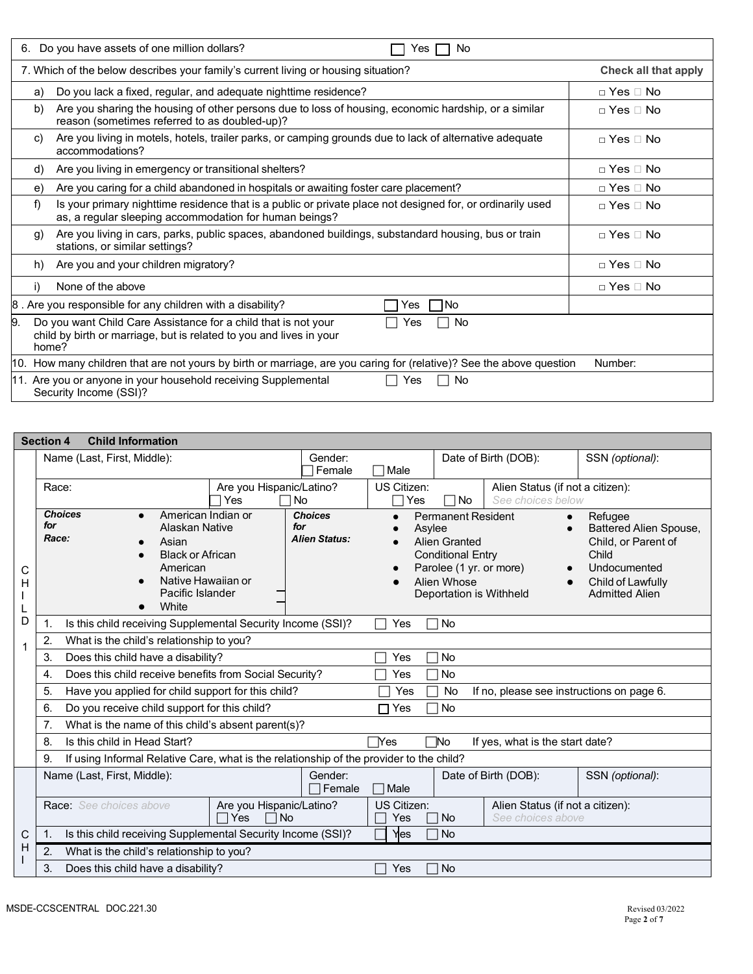| Do you have assets of one million dollars?<br>6.<br>No<br>Yes                                                                                                              |                          |  |  |  |  |  |
|----------------------------------------------------------------------------------------------------------------------------------------------------------------------------|--------------------------|--|--|--|--|--|
| 7. Which of the below describes your family's current living or housing situation?<br>Check all that apply                                                                 |                          |  |  |  |  |  |
| Do you lack a fixed, regular, and adequate nighttime residence?<br>a)                                                                                                      | $\Box$ Yes $\Box$ No     |  |  |  |  |  |
| Are you sharing the housing of other persons due to loss of housing, economic hardship, or a similar<br>b)<br>reason (sometimes referred to as doubled-up)?                | $\sqcap$ Yes $\sqcap$ No |  |  |  |  |  |
| Are you living in motels, hotels, trailer parks, or camping grounds due to lack of alternative adequate<br>C)<br>accommodations?                                           | $\sqcap$ Yes $\sqcap$ No |  |  |  |  |  |
| Are you living in emergency or transitional shelters?<br>d)                                                                                                                | $\Box$ Yes $\Box$ No     |  |  |  |  |  |
| Are you caring for a child abandoned in hospitals or awaiting foster care placement?<br>e)                                                                                 | $\sqcap$ Yes $\sqcap$ No |  |  |  |  |  |
| Is your primary nighttime residence that is a public or private place not designed for, or ordinarily used<br>f)<br>as, a regular sleeping accommodation for human beings? | $\sqcap$ Yes $\sqcap$ No |  |  |  |  |  |
| Are you living in cars, parks, public spaces, abandoned buildings, substandard housing, bus or train<br>g)<br>stations, or similar settings?                               | $\sqcap$ Yes $\sqcap$ No |  |  |  |  |  |
| Are you and your children migratory?<br>h)                                                                                                                                 | $\sqcap$ Yes $\sqcap$ No |  |  |  |  |  |
| None of the above<br>i)                                                                                                                                                    | $\sqcap$ Yes $\sqcap$ No |  |  |  |  |  |
| 8. Are you responsible for any children with a disability?<br><b>INo</b><br>Yes                                                                                            |                          |  |  |  |  |  |
| 9.<br>Do you want Child Care Assistance for a child that is not your<br>No<br>Yes<br>child by birth or marriage, but is related to you and lives in your<br>home?          |                          |  |  |  |  |  |
| 10. How many children that are not yours by birth or marriage, are you caring for (relative)? See the above question                                                       | Number:                  |  |  |  |  |  |
| 11. Are you or anyone in your household receiving Supplemental<br><b>No</b><br>Yes<br>Security Income (SSI)?                                                               |                          |  |  |  |  |  |

|   | <b>Child Information</b><br><b>Section 4</b>                                                  |                                                |                                                                          |                                                          |                                                       |                       |  |  |
|---|-----------------------------------------------------------------------------------------------|------------------------------------------------|--------------------------------------------------------------------------|----------------------------------------------------------|-------------------------------------------------------|-----------------------|--|--|
|   | Name (Last, First, Middle):                                                                   | Gender:                                        | Date of Birth (DOB):                                                     |                                                          |                                                       | SSN (optional):       |  |  |
|   |                                                                                               | Female                                         | $\sqcap$ Male                                                            |                                                          |                                                       |                       |  |  |
|   | Are you Hispanic/Latino?<br>Race:                                                             |                                                | US Citizen:                                                              |                                                          | Alien Status (if not a citizen):                      |                       |  |  |
|   | Yes                                                                                           | 1 No                                           | See choices below<br>1No<br>Yes                                          |                                                          |                                                       |                       |  |  |
|   | <b>Choices</b><br>American Indian or<br>for<br>Alaskan Native<br>Race:<br>Asian               | <b>Choices</b><br>for<br><b>Alien Status:</b>  | <b>Permanent Resident</b><br>$\bullet$<br>Asylee<br><b>Alien Granted</b> | Refugee<br>Battered Alien Spouse,<br>Child, or Parent of |                                                       |                       |  |  |
|   | <b>Black or African</b>                                                                       |                                                |                                                                          | <b>Conditional Entry</b>                                 |                                                       | Child                 |  |  |
| С | American                                                                                      |                                                |                                                                          | Parolee (1 yr. or more)                                  | $\bullet$                                             | Undocumented          |  |  |
| н | Native Hawaiian or                                                                            |                                                |                                                                          | Alien Whose                                              |                                                       | Child of Lawfully     |  |  |
|   | Pacific Islander                                                                              |                                                |                                                                          | Deportation is Withheld                                  |                                                       | <b>Admitted Alien</b> |  |  |
|   | White                                                                                         |                                                |                                                                          |                                                          |                                                       |                       |  |  |
| D | Is this child receiving Supplemental Security Income (SSI)?<br>1.                             |                                                | Yes<br>П                                                                 | No                                                       |                                                       |                       |  |  |
| 1 | What is the child's relationship to you?<br>2.                                                |                                                |                                                                          |                                                          |                                                       |                       |  |  |
|   | Does this child have a disability?<br>3.                                                      | <b>No</b><br>Yes                               |                                                                          |                                                          |                                                       |                       |  |  |
|   | Does this child receive benefits from Social Security?<br>4.                                  | Yes                                            | <b>No</b>                                                                |                                                          |                                                       |                       |  |  |
|   | 5.<br>Have you applied for child support for this child?                                      | Yes                                            | No                                                                       | If no, please see instructions on page 6.                |                                                       |                       |  |  |
|   | 6.<br>Do you receive child support for this child?                                            | $\sqcap$ Yes                                   | <b>No</b>                                                                |                                                          |                                                       |                       |  |  |
|   | What is the name of this child's absent parent(s)?<br>7.                                      |                                                |                                                                          |                                                          |                                                       |                       |  |  |
|   | Is this child in Head Start?<br>8.                                                            | ™o<br>TYes.<br>If yes, what is the start date? |                                                                          |                                                          |                                                       |                       |  |  |
|   | If using Informal Relative Care, what is the relationship of the provider to the child?<br>9. |                                                |                                                                          |                                                          |                                                       |                       |  |  |
|   | Name (Last, First, Middle):                                                                   | Gender:<br>∃Female                             | □ Male                                                                   | Date of Birth (DOB):                                     | SSN (optional):                                       |                       |  |  |
|   | Race: See choices above<br>Are you Hispanic/Latino?<br>$\Box$ Yes                             | <b>No</b>                                      | US Citizen:<br>Yes                                                       | <b>No</b>                                                | Alien Status (if not a citizen):<br>See choices above |                       |  |  |
| С | Is this child receiving Supplemental Security Income (SSI)?<br>$\mathbf{1}$ .                 |                                                | Yes                                                                      | <b>No</b>                                                |                                                       |                       |  |  |
| H | 2.<br>What is the child's relationship to you?                                                |                                                |                                                                          |                                                          |                                                       |                       |  |  |
|   | 3.<br>Does this child have a disability?                                                      |                                                | Yes                                                                      | No                                                       |                                                       |                       |  |  |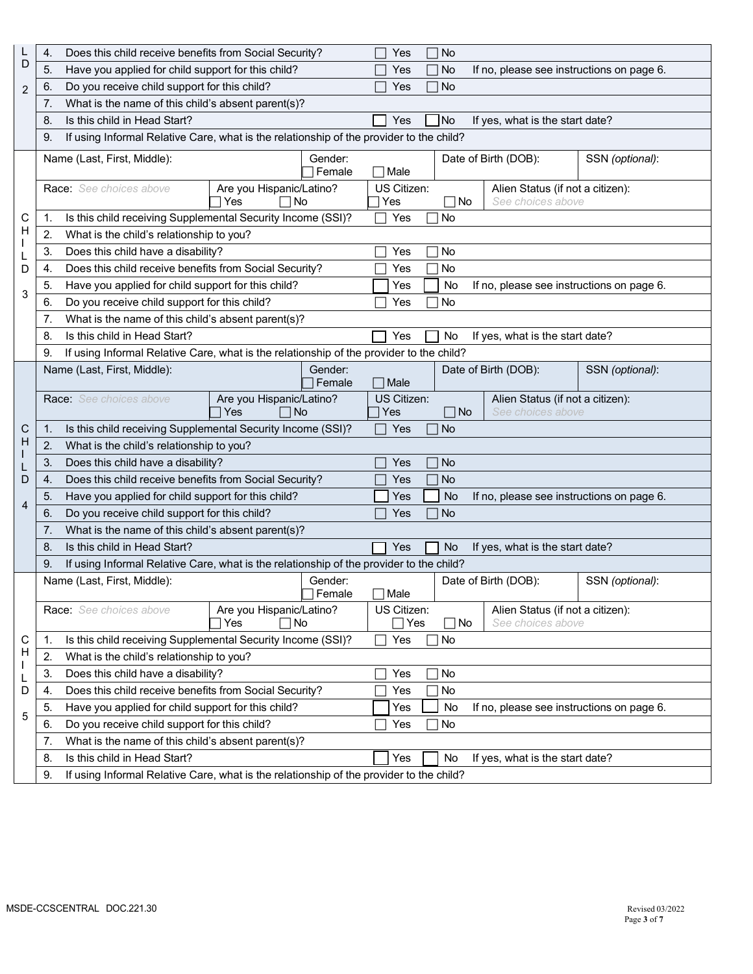|   | 4.                                                                                                            | Does this child receive benefits from Social Security?                                  |                                        |               |  | Yes                 | No          |                                                       |                 |
|---|---------------------------------------------------------------------------------------------------------------|-----------------------------------------------------------------------------------------|----------------------------------------|---------------|--|---------------------|-------------|-------------------------------------------------------|-----------------|
| D | 5.                                                                                                            | Have you applied for child support for this child?                                      |                                        |               |  | Yes                 | No          | If no, please see instructions on page 6.             |                 |
| 2 | 6.                                                                                                            | Do you receive child support for this child?                                            |                                        |               |  | Yes                 | No          |                                                       |                 |
|   | 7.                                                                                                            | What is the name of this child's absent parent(s)?                                      |                                        |               |  |                     |             |                                                       |                 |
|   | 8.                                                                                                            | Is this child in Head Start?                                                            |                                        |               |  | Yes                 | <b>No</b>   | If yes, what is the start date?                       |                 |
|   | 9.                                                                                                            | If using Informal Relative Care, what is the relationship of the provider to the child? |                                        |               |  |                     |             |                                                       |                 |
|   |                                                                                                               | Name (Last, First, Middle):                                                             |                                        | Gender:       |  |                     |             | Date of Birth (DOB):                                  | SSN (optional): |
|   |                                                                                                               |                                                                                         |                                        | Female        |  | $\sqcap$ Male       |             |                                                       |                 |
|   |                                                                                                               | Race: See choices above                                                                 | Are you Hispanic/Latino?               |               |  | US Citizen:         |             | Alien Status (if not a citizen):                      |                 |
|   |                                                                                                               |                                                                                         | Yes<br>∩No                             |               |  | Yes                 | ∏No         | See choices above                                     |                 |
| С | 1.                                                                                                            | Is this child receiving Supplemental Security Income (SSI)?                             |                                        |               |  | Yes                 | No          |                                                       |                 |
| H | 2.                                                                                                            | What is the child's relationship to you?                                                |                                        |               |  |                     |             |                                                       |                 |
|   | 3.                                                                                                            | Does this child have a disability?                                                      |                                        |               |  | Yes                 | No          |                                                       |                 |
| D | 4.                                                                                                            | Does this child receive benefits from Social Security?                                  |                                        |               |  | Yes                 | No          |                                                       |                 |
| 3 | 5.                                                                                                            | Have you applied for child support for this child?                                      |                                        |               |  | Yes                 | No          | If no, please see instructions on page 6.             |                 |
|   | 6.                                                                                                            | Do you receive child support for this child?                                            |                                        |               |  | Yes                 | No          |                                                       |                 |
|   | 7.                                                                                                            | What is the name of this child's absent parent(s)?                                      |                                        |               |  |                     |             |                                                       |                 |
|   | 8.                                                                                                            | Is this child in Head Start?                                                            |                                        |               |  | Yes                 | No          | If yes, what is the start date?                       |                 |
|   | 9.                                                                                                            | If using Informal Relative Care, what is the relationship of the provider to the child? |                                        |               |  |                     |             |                                                       |                 |
|   |                                                                                                               | Name (Last, First, Middle):                                                             |                                        | Gender:       |  |                     |             | Date of Birth (DOB):                                  | SSN (optional): |
|   |                                                                                                               |                                                                                         |                                        | ∏Female       |  | $\sqcap$ Male       |             |                                                       |                 |
|   |                                                                                                               | <b>Race:</b> See choices above                                                          | Are you Hispanic/Latino?<br>Yes<br>∣No |               |  | US Citizen:<br>Yes  | $\sqcap$ No | Alien Status (if not a citizen):<br>See choices above |                 |
| C | 1.                                                                                                            |                                                                                         |                                        |               |  | Yes                 | <b>No</b>   |                                                       |                 |
| H | Is this child receiving Supplemental Security Income (SSI)?<br>2.<br>What is the child's relationship to you? |                                                                                         |                                        |               |  |                     |             |                                                       |                 |
|   | 3.                                                                                                            | Does this child have a disability?                                                      |                                        |               |  | Yes                 | <b>No</b>   |                                                       |                 |
| D | $\mathbf{4}$                                                                                                  | Does this child receive benefits from Social Security?                                  |                                        |               |  | Yes                 | <b>No</b>   |                                                       |                 |
|   | 5.                                                                                                            | Have you applied for child support for this child?                                      |                                        |               |  | Yes                 | <b>No</b>   | If no, please see instructions on page 6.             |                 |
| 4 | 6.                                                                                                            | Do you receive child support for this child?                                            |                                        |               |  | Yes                 | <b>No</b>   |                                                       |                 |
|   | 7.                                                                                                            | What is the name of this child's absent parent(s)?                                      |                                        |               |  |                     |             |                                                       |                 |
|   | 8.                                                                                                            | Is this child in Head Start?                                                            |                                        |               |  | Yes                 | No          | If yes, what is the start date?                       |                 |
|   | 9.                                                                                                            | If using Informal Relative Care, what is the relationship of the provider to the child? |                                        |               |  |                     |             |                                                       |                 |
|   |                                                                                                               | Name (Last, First, Middle):                                                             |                                        | Gender:       |  |                     |             | Date of Birth (DOB):                                  | SSN (optional): |
|   |                                                                                                               |                                                                                         |                                        | $\Box$ Female |  | $\Box$ Male         |             |                                                       |                 |
|   |                                                                                                               | <b>Race:</b> See choices above                                                          | Are you Hispanic/Latino?<br>∣No<br>Yes |               |  | US Citizen:<br>⊺Yes | No          | Alien Status (if not a citizen):<br>See choices above |                 |
| С | 1.                                                                                                            | Is this child receiving Supplemental Security Income (SSI)?                             |                                        |               |  | Yes                 | No          |                                                       |                 |
| H | 2.                                                                                                            | What is the child's relationship to you?                                                |                                        |               |  |                     |             |                                                       |                 |
|   | 3.                                                                                                            | Does this child have a disability?                                                      |                                        |               |  | Yes                 | No          |                                                       |                 |
| D | 4.                                                                                                            | Does this child receive benefits from Social Security?                                  |                                        |               |  | Yes                 | No          |                                                       |                 |
|   | 5.                                                                                                            | Have you applied for child support for this child?                                      |                                        |               |  | Yes                 | No          | If no, please see instructions on page 6.             |                 |
| 5 | 6.                                                                                                            | Do you receive child support for this child?                                            |                                        |               |  | Yes                 | No          |                                                       |                 |
|   | 7.                                                                                                            | What is the name of this child's absent parent(s)?                                      |                                        |               |  |                     |             |                                                       |                 |
|   | 8.                                                                                                            | Is this child in Head Start?                                                            |                                        |               |  | Yes                 | No          | If yes, what is the start date?                       |                 |
|   | 9.                                                                                                            | If using Informal Relative Care, what is the relationship of the provider to the child? |                                        |               |  |                     |             |                                                       |                 |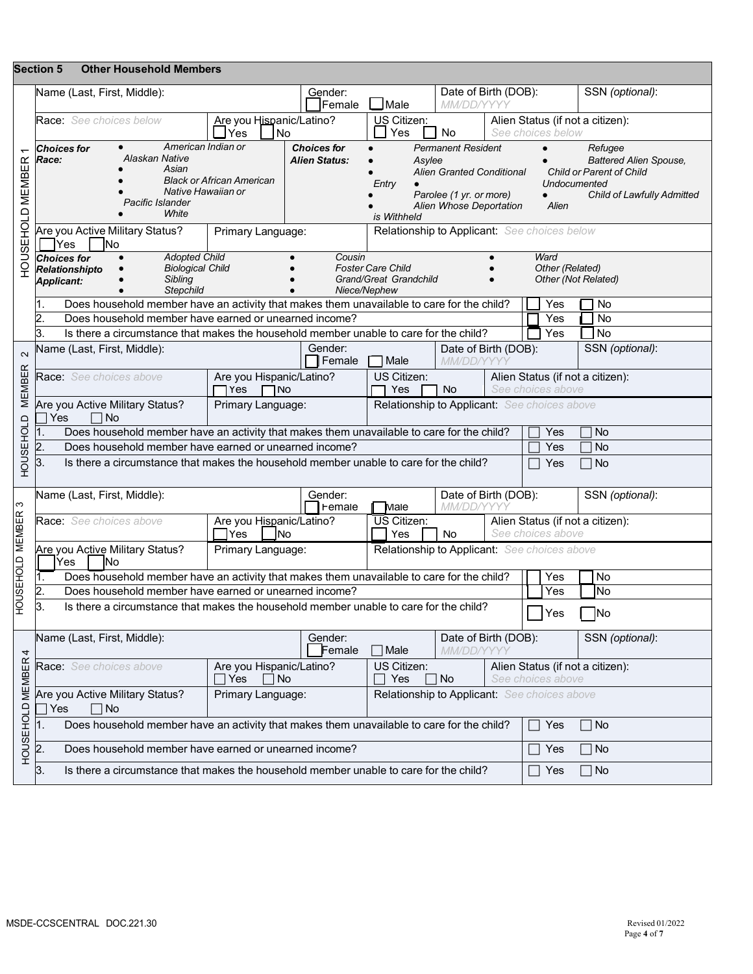|                  | <b>Section 5</b><br><b>Other Household Members</b>                                                                                                                                                                                                                                                                                                                         |                                                                                   |                                                  |                                                                      |                                                                                          |                                                                                                                                          |  |                         |                                  |  |
|------------------|----------------------------------------------------------------------------------------------------------------------------------------------------------------------------------------------------------------------------------------------------------------------------------------------------------------------------------------------------------------------------|-----------------------------------------------------------------------------------|--------------------------------------------------|----------------------------------------------------------------------|------------------------------------------------------------------------------------------|------------------------------------------------------------------------------------------------------------------------------------------|--|-------------------------|----------------------------------|--|
|                  | Name (Last, First, Middle):                                                                                                                                                                                                                                                                                                                                                |                                                                                   | Gender:<br>Female                                | $\Box$ Male                                                          | Date of Birth (DOB):<br>MM/DD/YYYY                                                       |                                                                                                                                          |  |                         | SSN (optional):                  |  |
| HOUSEHOLD MEMBER | Race: See choices below<br>Are you Hispanic/Latino?<br>US Citizen:<br>Yes<br><b>No</b><br>Yes<br> No                                                                                                                                                                                                                                                                       |                                                                                   |                                                  |                                                                      |                                                                                          | Alien Status (if not a citizen):<br>See choices below                                                                                    |  |                         |                                  |  |
|                  | American Indian or<br><b>Choices for</b><br><b>Permanent Resident</b><br><b>Choices for</b><br>Alaskan Native<br>Race:<br><b>Alien Status:</b><br>Asylee<br>Asian<br><b>Alien Granted Conditional</b><br><b>Black or African American</b><br>Entry<br>Native Hawaiian or<br>Parolee (1 yr. or more)<br>Pacific Islander<br>Alien Whose Deportation<br>White<br>is Withheld |                                                                                   |                                                  |                                                                      |                                                                                          | Refugee<br><b>Battered Alien Spouse,</b><br>Child or Parent of Child<br>Undocumented<br>Child of Lawfully Admitted<br>$\bullet$<br>Alien |  |                         |                                  |  |
|                  | Are you Active Military Status?<br>Yes<br>lNo                                                                                                                                                                                                                                                                                                                              | Primary Language:                                                                 |                                                  | Relationship to Applicant: See choices below                         |                                                                                          |                                                                                                                                          |  |                         |                                  |  |
|                  | <b>Adopted Child</b><br><b>Choices for</b><br><b>Biological Child</b><br>Relationshipto<br>Sibling<br><b>Applicant:</b><br><b>Stepchild</b>                                                                                                                                                                                                                                |                                                                                   | Cousin<br>Niece/Nephew                           | <b>Foster Care Child</b><br>Grand/Great Grandchild                   |                                                                                          |                                                                                                                                          |  | Ward<br>Other (Related) | Other (Not Related)              |  |
|                  | Does household member have an activity that makes them unavailable to care for the child?                                                                                                                                                                                                                                                                                  |                                                                                   |                                                  |                                                                      |                                                                                          |                                                                                                                                          |  | Yes                     | No                               |  |
|                  | Does household member have earned or unearned income?                                                                                                                                                                                                                                                                                                                      |                                                                                   |                                                  |                                                                      |                                                                                          |                                                                                                                                          |  | Yes                     | No                               |  |
|                  | З.<br>Is there a circumstance that makes the household member unable to care for the child?                                                                                                                                                                                                                                                                                |                                                                                   |                                                  |                                                                      |                                                                                          |                                                                                                                                          |  | Yes                     | 1 No                             |  |
| $\sim$           | Vame (Last, First, Middle):                                                                                                                                                                                                                                                                                                                                                |                                                                                   | Gender:<br>Female                                | Date of Birth (DOB):<br>MM/DD/YYYY<br>Male                           |                                                                                          |                                                                                                                                          |  | SSN (optional):         |                                  |  |
| <b>MEMBER</b>    | Are you Hispanic/Latino?<br>Race: See choices above<br>TYes<br><b>TNo</b>                                                                                                                                                                                                                                                                                                  |                                                                                   |                                                  |                                                                      | US Citizen:<br>Alien Status (if not a citizen):<br>See choices above<br>Yes<br><b>No</b> |                                                                                                                                          |  |                         |                                  |  |
|                  | Are you Active Military Status?<br>Primary Language:<br>Relationship to Applicant: See choices above<br>Yes<br>∣No                                                                                                                                                                                                                                                         |                                                                                   |                                                  |                                                                      |                                                                                          |                                                                                                                                          |  |                         |                                  |  |
|                  | Does household member have an activity that makes them unavailable to care for the child?<br>1.                                                                                                                                                                                                                                                                            |                                                                                   |                                                  |                                                                      |                                                                                          |                                                                                                                                          |  | Yes                     | <b>No</b>                        |  |
|                  | $\overline{2}$ .<br>Does household member have earned or unearned income?                                                                                                                                                                                                                                                                                                  |                                                                                   |                                                  |                                                                      |                                                                                          |                                                                                                                                          |  | Yes                     | <b>No</b>                        |  |
| HOUSEHOLD        | 3.<br>Is there a circumstance that makes the household member unable to care for the child?<br><b>No</b><br>Yes                                                                                                                                                                                                                                                            |                                                                                   |                                                  |                                                                      |                                                                                          |                                                                                                                                          |  |                         |                                  |  |
| ო                | Name (Last, First, Middle):                                                                                                                                                                                                                                                                                                                                                | Gender:<br>Female                                                                 | Date of Birth (DOB):<br><i>MM/DD/YYY</i><br>Male |                                                                      |                                                                                          | SSN (optional):                                                                                                                          |  |                         |                                  |  |
|                  | <b>Race:</b> See choices above                                                                                                                                                                                                                                                                                                                                             | Are you Hispanic/Latino?<br>l Yes<br> No                                          |                                                  | US Citizen:<br>Yes                                                   | No                                                                                       | See choices above                                                                                                                        |  |                         | Alien Status (if not a citizen): |  |
| HOUSEHOLD MEMBER | Are you Active Military Status?<br>Relationship to Applicant: See choices above<br>Primary Language:<br>Yes<br>lNo                                                                                                                                                                                                                                                         |                                                                                   |                                                  |                                                                      |                                                                                          |                                                                                                                                          |  |                         |                                  |  |
|                  | Does household member have an activity that makes them unavailable to care for the child?                                                                                                                                                                                                                                                                                  |                                                                                   |                                                  |                                                                      |                                                                                          |                                                                                                                                          |  | Yes                     | No                               |  |
|                  | Does household member have earned or unearned income?                                                                                                                                                                                                                                                                                                                      |                                                                                   |                                                  |                                                                      |                                                                                          |                                                                                                                                          |  | Yes                     | lNo                              |  |
|                  | 3.<br>Is there a circumstance that makes the household member unable to care for the child?                                                                                                                                                                                                                                                                                |                                                                                   |                                                  |                                                                      |                                                                                          |                                                                                                                                          |  | $\bigsqcup$ Yes         | $\Box$ No                        |  |
| 4                | Name (Last, First, Middle):                                                                                                                                                                                                                                                                                                                                                |                                                                                   | Gender:<br>Female                                | Date of Birth (DOB):<br>SSN (optional):<br>$\Box$ Male<br>MM/DD/YYYY |                                                                                          |                                                                                                                                          |  |                         |                                  |  |
| HOUSEHOLD MEMBER | Race: See choices above                                                                                                                                                                                                                                                                                                                                                    | US Citizen:<br>Alien Status (if not a citizen):<br>See choices above<br>Yes<br>No |                                                  |                                                                      |                                                                                          |                                                                                                                                          |  |                         |                                  |  |
|                  | Relationship to Applicant: See choices above<br>Are you Active Military Status?<br>Primary Language:<br>∩ No<br>Yes                                                                                                                                                                                                                                                        |                                                                                   |                                                  |                                                                      |                                                                                          |                                                                                                                                          |  |                         |                                  |  |
|                  | 1.<br>Does household member have an activity that makes them unavailable to care for the child?                                                                                                                                                                                                                                                                            |                                                                                   |                                                  |                                                                      |                                                                                          |                                                                                                                                          |  | Yes                     | ∏ No                             |  |
|                  | 2.<br>Does household member have earned or unearned income?                                                                                                                                                                                                                                                                                                                |                                                                                   |                                                  |                                                                      |                                                                                          |                                                                                                                                          |  | Yes                     | ∏ No                             |  |
|                  | 3.<br>Is there a circumstance that makes the household member unable to care for the child?                                                                                                                                                                                                                                                                                |                                                                                   |                                                  |                                                                      |                                                                                          |                                                                                                                                          |  | Yes                     | ∣No                              |  |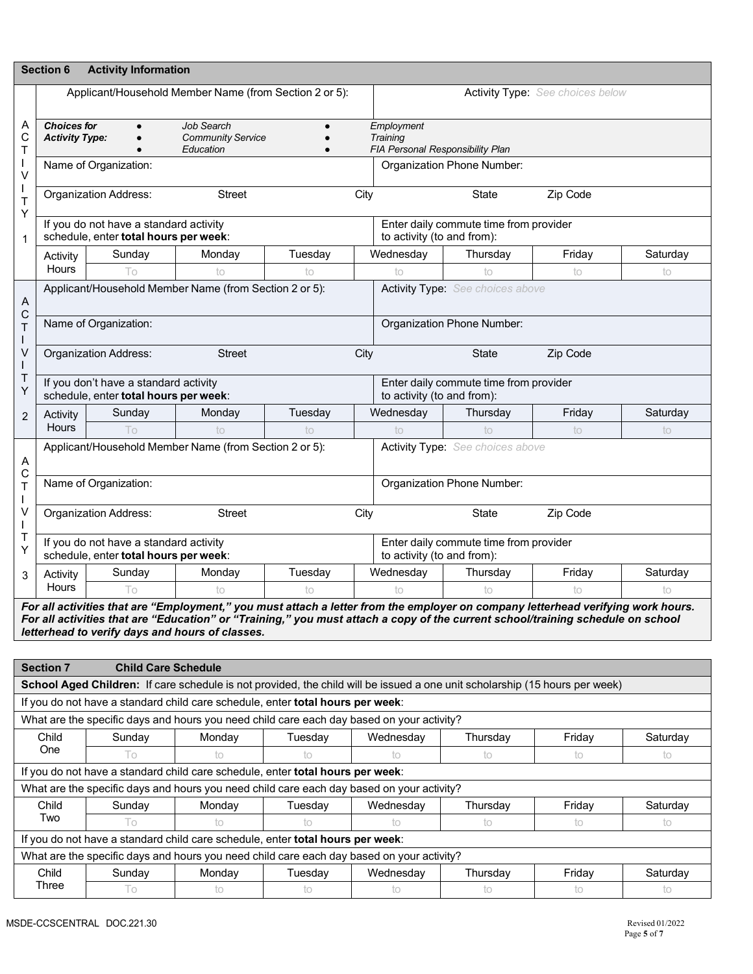|                            | <b>Section 6</b>                                                                                                                                                                                                                                                                                                       | <b>Activity Information</b>                                                     |                                                                                           |         |                                                            |                                                                                                                             |                                         |          |  |
|----------------------------|------------------------------------------------------------------------------------------------------------------------------------------------------------------------------------------------------------------------------------------------------------------------------------------------------------------------|---------------------------------------------------------------------------------|-------------------------------------------------------------------------------------------|---------|------------------------------------------------------------|-----------------------------------------------------------------------------------------------------------------------------|-----------------------------------------|----------|--|
|                            |                                                                                                                                                                                                                                                                                                                        |                                                                                 | Applicant/Household Member Name (from Section 2 or 5):                                    |         |                                                            |                                                                                                                             | <b>Activity Type:</b> See choices below |          |  |
| A<br>C<br>Τ                | <b>Choices for</b><br><b>Activity Type:</b>                                                                                                                                                                                                                                                                            |                                                                                 | Job Search<br><b>Community Service</b><br>Education                                       |         | Employment<br>Training<br>FIA Personal Responsibility Plan |                                                                                                                             |                                         |          |  |
| $\sf V$                    |                                                                                                                                                                                                                                                                                                                        | Name of Organization:                                                           |                                                                                           |         |                                                            | Organization Phone Number:                                                                                                  |                                         |          |  |
| T<br>$\mathsf T$           |                                                                                                                                                                                                                                                                                                                        | <b>Organization Address:</b>                                                    | <b>Street</b>                                                                             |         | City                                                       | <b>State</b>                                                                                                                | Zip Code                                |          |  |
| Υ<br>1                     |                                                                                                                                                                                                                                                                                                                        | If you do not have a standard activity<br>schedule, enter total hours per week: |                                                                                           |         | to activity (to and from):                                 | Enter daily commute time from provider                                                                                      |                                         |          |  |
|                            | Activity                                                                                                                                                                                                                                                                                                               | Sunday                                                                          | Monday                                                                                    | Tuesday | Wednesday                                                  | Thursday                                                                                                                    | Friday                                  | Saturday |  |
|                            | Hours                                                                                                                                                                                                                                                                                                                  | Τo                                                                              | to                                                                                        | to      | to                                                         | to                                                                                                                          | to                                      | to       |  |
| A                          |                                                                                                                                                                                                                                                                                                                        |                                                                                 | Applicant/Household Member Name (from Section 2 or 5):                                    |         |                                                            | Activity Type: See choices above                                                                                            |                                         |          |  |
| $\mathsf C$<br>$\mathsf T$ |                                                                                                                                                                                                                                                                                                                        | Name of Organization:                                                           |                                                                                           |         |                                                            | Organization Phone Number:                                                                                                  |                                         |          |  |
| V                          |                                                                                                                                                                                                                                                                                                                        | <b>Organization Address:</b>                                                    | <b>Street</b>                                                                             |         | City                                                       | <b>State</b>                                                                                                                | Zip Code                                |          |  |
| Τ<br>Y                     | If you don't have a standard activity<br>schedule, enter total hours per week:                                                                                                                                                                                                                                         |                                                                                 |                                                                                           |         |                                                            | Enter daily commute time from provider<br>to activity (to and from):                                                        |                                         |          |  |
| $\overline{2}$             | Activity                                                                                                                                                                                                                                                                                                               | Sunday                                                                          | Monday                                                                                    | Tuesday | Wednesday                                                  | Thursday                                                                                                                    | Friday                                  | Saturday |  |
|                            | <b>Hours</b>                                                                                                                                                                                                                                                                                                           | Тo                                                                              | to                                                                                        | to      | to                                                         | to                                                                                                                          | to                                      | to       |  |
| A<br>C                     | Applicant/Household Member Name (from Section 2 or 5):<br>Activity Type: See choices above                                                                                                                                                                                                                             |                                                                                 |                                                                                           |         |                                                            |                                                                                                                             |                                         |          |  |
| $\mathsf{T}$<br>T          | Name of Organization:                                                                                                                                                                                                                                                                                                  |                                                                                 |                                                                                           |         |                                                            | Organization Phone Number:                                                                                                  |                                         |          |  |
| V                          |                                                                                                                                                                                                                                                                                                                        | <b>Organization Address:</b>                                                    | <b>Street</b>                                                                             |         | City                                                       | <b>State</b>                                                                                                                | Zip Code                                |          |  |
| Τ<br>Y                     | If you do not have a standard activity<br>schedule, enter total hours per week:                                                                                                                                                                                                                                        |                                                                                 |                                                                                           |         |                                                            | Enter daily commute time from provider<br>to activity (to and from):                                                        |                                         |          |  |
| 3                          | Activity                                                                                                                                                                                                                                                                                                               | Sunday                                                                          | Monday                                                                                    | Tuesday | Wednesday                                                  | Thursday                                                                                                                    | Friday                                  | Saturday |  |
|                            | Hours                                                                                                                                                                                                                                                                                                                  | Τo                                                                              | ŤΟ                                                                                        | to      | to                                                         | to                                                                                                                          | to                                      | İΟ       |  |
|                            | For all activities that are "Employment," you must attach a letter from the employer on company letterhead verifying work hours.<br>For all activities that are "Education" or "Training," you must attach a copy of the current school/training schedule on school<br>letterhead to verify days and hours of classes. |                                                                                 |                                                                                           |         |                                                            |                                                                                                                             |                                         |          |  |
|                            | <b>Section 7</b>                                                                                                                                                                                                                                                                                                       | <b>Child Care Schedule</b>                                                      |                                                                                           |         |                                                            |                                                                                                                             |                                         |          |  |
|                            |                                                                                                                                                                                                                                                                                                                        |                                                                                 |                                                                                           |         |                                                            | School Aged Children: If care schedule is not provided, the child will be issued a one unit scholarship (15 hours per week) |                                         |          |  |
|                            |                                                                                                                                                                                                                                                                                                                        |                                                                                 | If you do not have a standard child care schedule, enter total hours per week:            |         |                                                            |                                                                                                                             |                                         |          |  |
|                            |                                                                                                                                                                                                                                                                                                                        |                                                                                 | What are the specific days and hours you need child care each day based on your activity? |         |                                                            |                                                                                                                             |                                         |          |  |
|                            | Child                                                                                                                                                                                                                                                                                                                  | Sunday                                                                          | Monday                                                                                    | Tuesday | Wednesday                                                  | Thursday                                                                                                                    | Friday                                  | Saturday |  |
|                            | One                                                                                                                                                                                                                                                                                                                    | To                                                                              | to                                                                                        | to      | to                                                         | to                                                                                                                          | to                                      | to       |  |
|                            |                                                                                                                                                                                                                                                                                                                        |                                                                                 | If you do not have a standard child care schedule, enter total hours per week:            |         |                                                            |                                                                                                                             |                                         |          |  |
|                            | What are the specific days and hours you need child care each day based on your activity?                                                                                                                                                                                                                              |                                                                                 |                                                                                           |         |                                                            |                                                                                                                             |                                         |          |  |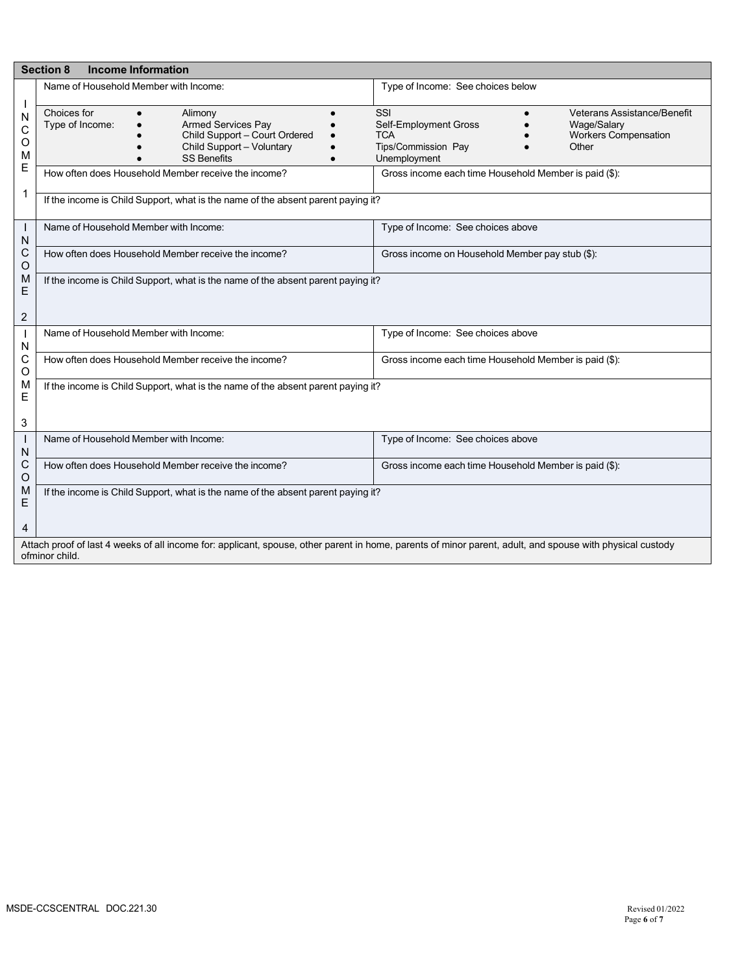|                                  | <b>Section 8</b><br><b>Income Information</b>                                                                                                                               |                                                                                                                                                                  |  |  |  |  |  |  |  |
|----------------------------------|-----------------------------------------------------------------------------------------------------------------------------------------------------------------------------|------------------------------------------------------------------------------------------------------------------------------------------------------------------|--|--|--|--|--|--|--|
|                                  | Name of Household Member with Income:                                                                                                                                       | Type of Income: See choices below                                                                                                                                |  |  |  |  |  |  |  |
| $\mathbf{I}$<br>N<br>С<br>O<br>M | Choices for<br>Alimony<br>Type of Income:<br><b>Armed Services Pay</b><br>Child Support - Court Ordered<br>Child Support - Voluntary<br><b>SS Benefits</b>                  | SSI<br>Veterans Assistance/Benefit<br>Self-Employment Gross<br>Wage/Salary<br><b>Workers Compensation</b><br>TCA<br>Tips/Commission Pay<br>Other<br>Unemployment |  |  |  |  |  |  |  |
| E                                | How often does Household Member receive the income?                                                                                                                         | Gross income each time Household Member is paid (\$):                                                                                                            |  |  |  |  |  |  |  |
| 1                                | If the income is Child Support, what is the name of the absent parent paying it?                                                                                            |                                                                                                                                                                  |  |  |  |  |  |  |  |
| N                                | Name of Household Member with Income:                                                                                                                                       | Type of Income: See choices above                                                                                                                                |  |  |  |  |  |  |  |
| С<br>O                           | How often does Household Member receive the income?                                                                                                                         | Gross income on Household Member pay stub (\$):                                                                                                                  |  |  |  |  |  |  |  |
| M<br>Ε<br>$\overline{2}$         | If the income is Child Support, what is the name of the absent parent paying it?                                                                                            |                                                                                                                                                                  |  |  |  |  |  |  |  |
| N                                | Name of Household Member with Income:                                                                                                                                       | Type of Income: See choices above                                                                                                                                |  |  |  |  |  |  |  |
| С<br>O                           | How often does Household Member receive the income?                                                                                                                         | Gross income each time Household Member is paid (\$):                                                                                                            |  |  |  |  |  |  |  |
| M<br>E<br>3                      | If the income is Child Support, what is the name of the absent parent paying it?                                                                                            |                                                                                                                                                                  |  |  |  |  |  |  |  |
| N                                | Name of Household Member with Income:                                                                                                                                       | Type of Income: See choices above                                                                                                                                |  |  |  |  |  |  |  |
| C<br>O                           | How often does Household Member receive the income?                                                                                                                         | Gross income each time Household Member is paid (\$):                                                                                                            |  |  |  |  |  |  |  |
| M<br>Ε<br>4                      | If the income is Child Support, what is the name of the absent parent paying it?                                                                                            |                                                                                                                                                                  |  |  |  |  |  |  |  |
|                                  | Attach proof of last 4 weeks of all income for: applicant, spouse, other parent in home, parents of minor parent, adult, and spouse with physical custody<br>ofminor child. |                                                                                                                                                                  |  |  |  |  |  |  |  |